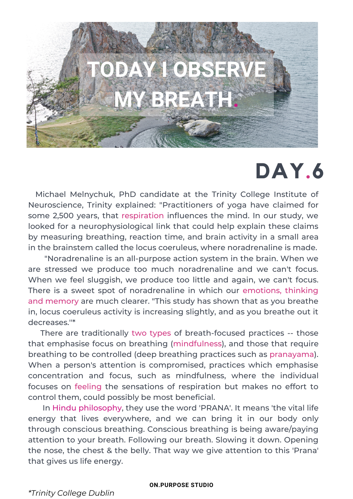

## **DAY.6**

Michael Melnychuk, PhD candidate at the Trinity College Institute of Neuroscience, Trinity explained: "Practitioners of yoga have claimed for some 2,500 years, that respiration influences the mind. In our study, we looked for a neurophysiological link that could help explain these claims by measuring breathing, reaction time, and brain activity in a small area in the brainstem called the locus coeruleus, where noradrenaline is made.

When we feel sluggish, we produce too little and again, we can't focus.<br>— "Noradrenaline is an all-purpose action system in the brain. When we are stressed we produce too much noradrenaline and we can't focus. There is a sweet spot of noradrenaline in which our emotions, thinking and memory are much clearer. "This study has shown that as you breathe in, locus coeruleus activity is increasing slightly, and as you breathe out it decreases.''\*

There are traditionally two types of breath-focused practices -- those that emphasise focus on breathing (mindfulness), and those that require breathing to be controlled (deep breathing practices such as pranayama). When a person's attention is compromised, practices which emphasise concentration and focus, such as mindfulness, where the individual focuses on feeling the sensations of respiration but makes no effort to control them, could possibly be most beneficial.

In Hindu philosophy, they use the word 'PRANA'. It means 'the vital life energy that lives everywhere, and we can bring it in our body only through conscious breathing. Conscious breathing is being aware/paying attention to your breath. Following our breath. Slowing it down. Opening the nose, the chest & the belly. That way we give attention to this 'Prana' that gives us life energy.

## **ON.PURPOSE STUDIO**